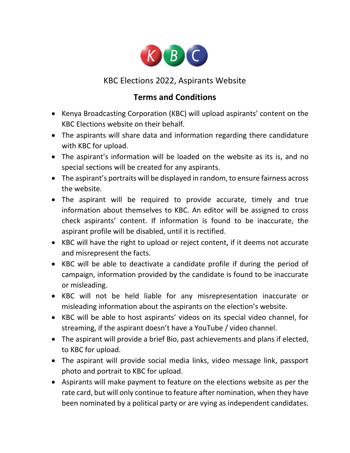

## KBC Elections 2022, Aspirants Website

## **Terms and Conditions**

- Kenya Broadcasting Corporation (KBC) will upload aspirants' content on the KBC Elections website on their behalf.
- The aspirants will share data and information regarding there candidature with KBC for upload.
- The aspirant's information will be loaded on the website as its is, and no special sections will be created for any aspirants.
- The aspirant's portraits will be displayed in random, to ensure fairness across the website.
- The aspirant will be required to provide accurate, timely and true information about themselves to KBC. An editor will be assigned to cross check aspirants' content. If information is found to be inaccurate, the aspirant profile will be disabled, until it is rectified.
- KBC will have the right to upload or reject content, if it deems not accurate and misrepresent the facts.
- KBC will be able to deactivate a candidate profile if during the period of campaign, information provided by the candidate is found to be inaccurate or misleading.
- KBC will not be held liable for any misrepresentation inaccurate or misleading information about the aspirants on the election's website.
- KBC will be able to host aspirants' videos on its special video channel, for streaming, if the aspirant doesn't have a YouTube / video channel.
- The aspirant will provide a brief Bio, past achievements and plans if elected, to KBC for upload.
- The aspirant will provide social media links, video message link, passport photo and portrait to KBC for upload.
- Aspirants will make payment to feature on the elections website as per the rate card, but will only continue to feature after nomination, when they have been nominated by a political party or are vying as independent candidates.